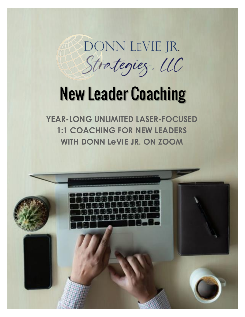DONN LEVIE JR. Strategiez, UC

# New Leader Coaching

**YEAR-LONG UNLIMITED LASER-FOCUSED 1:1 COACHING FOR NEW LEADERS WITH DONN LeVIE JR. ON ZOOM**

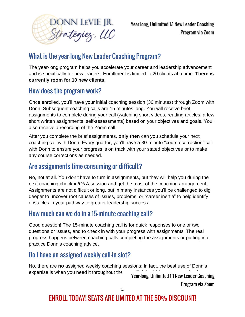

Year-long, Unlimited 1:1 New Leader Coaching Program via Zoom

# What is the year-long New Leader Coaching Program?

The year-long program helps you accelerate your career and leadership advancement and is specifically for new leaders. Enrollment is limited to 20 clients at a time. **There is currently room for 10 new clients.**

#### How does the program work?

Once enrolled, you'll have your initial coaching session (30 minutes) through Zoom with Donn. Subsequent coaching calls are 15 minutes long. You will receive brief assignments to complete during your call (watching short videos, reading articles, a few short written assignments, self-assessments) based on your objectives and goals. You'll also receive a recording of the Zoom call.

After you complete the brief assignments, **only then** can you schedule your next coaching call with Donn. Every quarter, you'll have a 30-minute "course correction" call with Donn to ensure your progress is on track with your stated objectives or to make any course corrections as needed.

#### Are assignments time consuming or difficult?

No, not at all. You don't have to turn in assignments, but they will help you during the next coaching check-in/Q&A session and get the most of the coaching arrangement. Assignments are not difficult or long, but in many instances you'll be challenged to dig deeper to uncover root causes of issues, problems, or "career inertia" to help identify obstacles in your pathway to greater leadership success.

#### How much can we do in a 15-minute coaching call?

Good question! The 15-minute coaching call is for quick responses to one or two questions or issues, and to check in with your progress with assignments. The real progress happens between coaching calls completing the assignments or putting into practice Donn's coaching advice.

# Do I have an assigned weekly call-in slot?

No, there are **no** assigned weekly coaching sessions; in fact, the best use of Donn's expertise is when you need it throughout the vear-long, Unlimited 1:1 New Leader Coaching

Program via Zoom

# ENROLL TODAY! SEATS ARE LIMITED AT THE 50% DISCOUNT!

 $\mathbf{r}$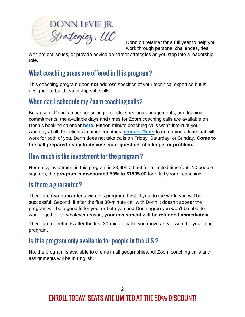

Donn on retainer for a full year to help you work through personal challenges, deal

with project issues, or provide advice on career strategies as you step into a leadership role.

# What coaching areas are offered in this program?

This coaching program does **not** address specifics of your technical expertise but is designed to build leadership soft skills.

#### When can I schedule my Zoom coaching calls?

Because of Donn's other consulting projects, speaking engagements, and training commitments, the available days and times for Zoom coaching calls are available on Donn's booking calendar **[here.](https://www.calendly.com/donn-1)** Fifteen-minute coaching calls won't interrupt your workday at all. For clients in other countries, **[contact Donn](mailto:donn@donnleviejrstrategies.com?subject=Coaching%20for%20ACFE%20Members%20in%20Other%20Countries)** to determine a time that will work for both of you. Donn does not take calls on Friday, Saturday, or Sunday. **Come to the call prepared ready to discuss your question, challenge, or problem.**

#### How much is the investment for the program?

Normally, investment in this program is \$3,995.00 but for a limited time (until 10 people sign up), the **program is discounted 50% to \$1995.00** for a full year of coaching.

#### Is there a guarantee?

There are **two guarantees** with this program. First, if you do the work, you will be successful. Second, if after the first 30-minute call with Donn it doesn't appear the program will be a good fit for you, or both you and Donn agree you won't be able to work together for whatever reason, **your investment will be refunded immediately.**

There are no refunds after the first 30-minute call if you move ahead with the year-long program.

#### Is this program only available for people in the U.S.?

No, the program is available to clients in all geographies. All Zoom coaching calls and assignments will be in English.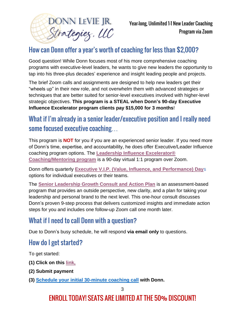

# How can Donn offer a year's worth of coaching for less than \$2,000?

Good question! While Donn focuses most of his more comprehensive coaching programs with executive-level leaders, he wants to give new leaders the opportunity to tap into his three-plus decades' experience and insight leading people and projects.

The brief Zoom calls and assignments are designed to help new leaders get their "wheels up" in their new role, and not overwhelm them with advanced strategies or techniques that are better suited for senior-level executives involved with higher-level strategic objectives. **This program is a STEAL when Donn's 90-day Executive Influence Excelerator program clients pay \$15,000 for 3 months**!

#### What if I'm already in a senior leader/executive position and I really need some focused executive coaching…

This program is **NOT** for you if you are an experienced senior leader. If you need more of Donn's time, expertise, and accountability, he does offer Executive/Leader Influence coaching program options. The **[Leadership Influence Excelerator®](https://www.donnleviejrstrategies.com/executive-coaching-1-1-details)  [Coaching/Mentoring program](https://www.donnleviejrstrategies.com/executive-coaching-1-1-details)** is a 90-day virtual 1:1 program over Zoom.

Donn offers quarterly **Executive V.I.P. [\(Value, Influence, and Performance\) Day](https://www.donnleviejrstrategies.com/vip-days-details)**s options for individual executives or their teams.

The **[Senior Leadership Growth Consult and Action Plan](https://www.donnleviejrstrategies.com/leadership-growth-consult-details)** is an assessment-based program that provides an outside perspective, new clarity, and a plan for taking your leadership and personal brand to the next level. This one-hour consult discusses Donn's proven 9-step process that delivers customized insights and immediate action steps for you and includes one follow-up Zoom call one month later.

#### What if I need to call Donn with a question?

Due to Donn's busy schedule, he will respond **via email only** to questions.

#### How do I get started?

To get started:

- **(1) Click on this [link,](https://app.paythen.co/company/donn_levie_jr_strategies_llc/plan/3mkrhuu5a8)**
- **(2) Submit payment**
- **(3) Schedule your initial [30-minute coaching call](https://www.calendly.com/donn-1) with Donn.**

# ENROLL TODAY! SEATS ARE LIMITED AT THE 50% DISCOUNT!